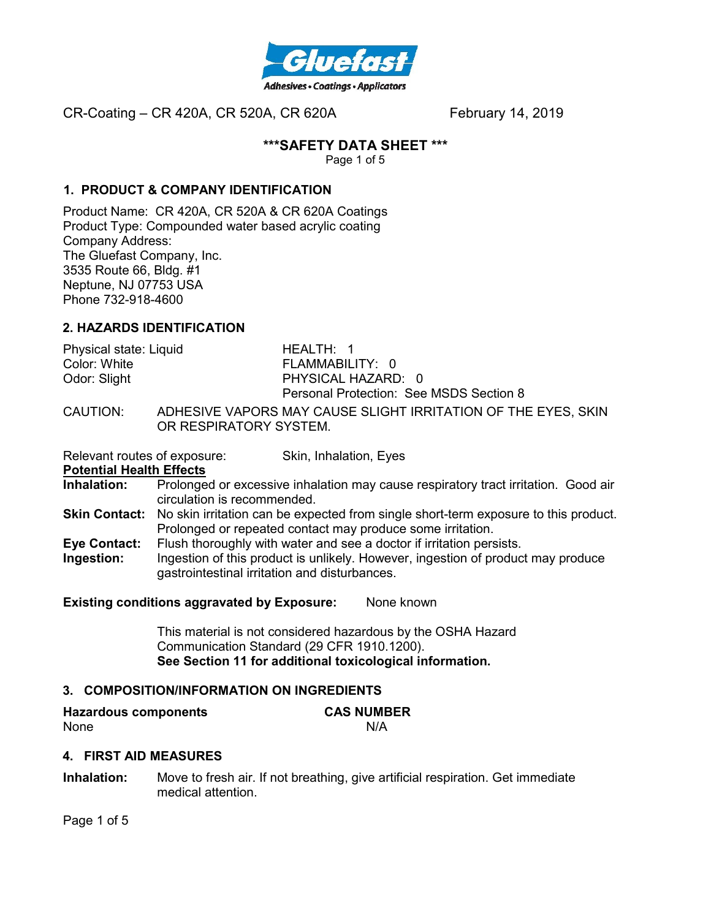

# **\*\*\*SAFETY DATA SHEET \*\*\***

Page 1 of 5

# **1. PRODUCT & COMPANY IDENTIFICATION**

Product Name: CR 420A, CR 520A & CR 620A Coatings Product Type: Compounded water based acrylic coating Company Address: The Gluefast Company, Inc. 3535 Route 66, Bldg. #1 Neptune, NJ 07753 USA Phone 732-918-4600

## **2. HAZARDS IDENTIFICATION**

| Physical state: Liquid | HEALTH: 1                                             |
|------------------------|-------------------------------------------------------|
| Color: White           | FLAMMABILITY: 0                                       |
| Odor: Slight           | PHYSICAL HAZARD: 0                                    |
|                        | Personal Protection: See MSDS Section 8               |
| CALITIONI·             | ANHESIVE VARORS MAY CALISE SLICHT IDDITATION OF THE F |

CAUTION: ADHESIVE VAPORS MAY CAUSE SLIGHT IRRITATION OF THE EYES, SKIN OR RESPIRATORY SYSTEM.

Relevant routes of exposure: Skin, Inhalation, Eyes

#### **Potential Health Effects**

- **Inhalation:** Prolonged or excessive inhalation may cause respiratory tract irritation. Good air circulation is recommended.
- **Skin Contact:** No skin irritation can be expected from single short-term exposure to this product. Prolonged or repeated contact may produce some irritation.
- **Eye Contact:** Flush thoroughly with water and see a doctor if irritation persists.
- **Ingestion:** Ingestion of this product is unlikely. However, ingestion of product may produce gastrointestinal irritation and disturbances.

## **Existing conditions aggravated by Exposure:** None known

This material is not considered hazardous by the OSHA Hazard Communication Standard (29 CFR 1910.1200). **See Section 11 for additional toxicological information.** 

## **3. COMPOSITION/INFORMATION ON INGREDIENTS**

| <b>Hazardous components</b> | <b>CAS NUMBER</b> |
|-----------------------------|-------------------|
| None                        | N/A               |

## **4. FIRST AID MEASURES**

**Inhalation:** Move to fresh air. If not breathing, give artificial respiration. Get immediate medical attention.

Page 1 of 5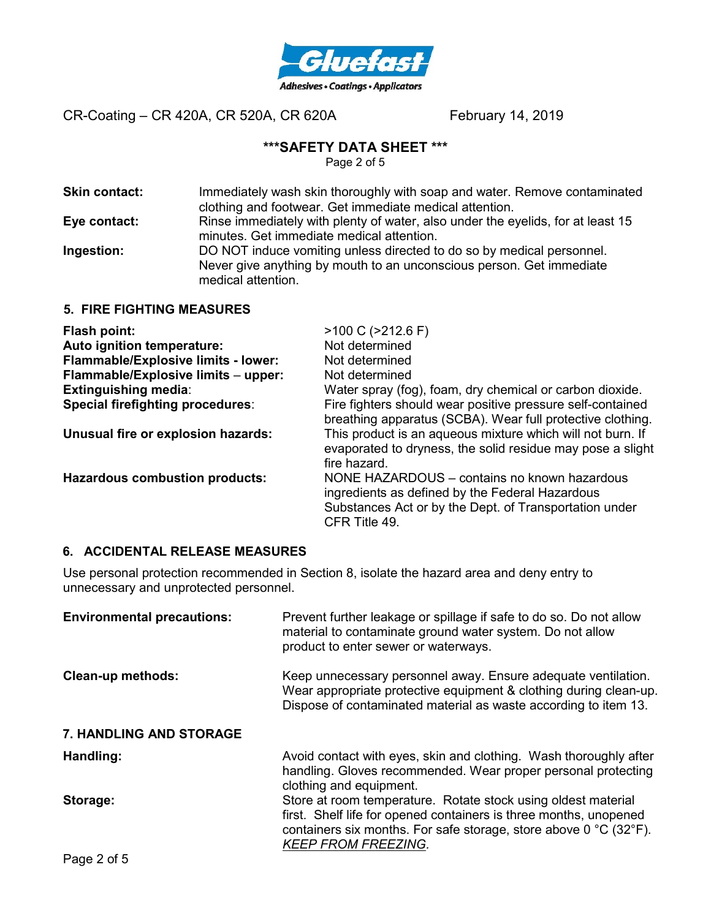

# **\*\*\*SAFETY DATA SHEET \*\*\***

Page 2 of 5

| <b>Skin contact:</b> | Immediately wash skin thoroughly with soap and water. Remove contaminated<br>clothing and footwear. Get immediate medical attention.                                |
|----------------------|---------------------------------------------------------------------------------------------------------------------------------------------------------------------|
| Eye contact:         | Rinse immediately with plenty of water, also under the eyelids, for at least 15<br>minutes. Get immediate medical attention.                                        |
| Ingestion:           | DO NOT induce vomiting unless directed to do so by medical personnel.<br>Never give anything by mouth to an unconscious person. Get immediate<br>medical attention. |
|                      |                                                                                                                                                                     |

#### **5. FIRE FIGHTING MEASURES**

| Flash point:                        | $>100$ C ( $>212.6$ F)                                                                                                                                                     |
|-------------------------------------|----------------------------------------------------------------------------------------------------------------------------------------------------------------------------|
| Auto ignition temperature:          | Not determined                                                                                                                                                             |
| Flammable/Explosive limits - lower: | Not determined                                                                                                                                                             |
| Flammable/Explosive limits - upper: | Not determined                                                                                                                                                             |
| <b>Extinguishing media:</b>         | Water spray (fog), foam, dry chemical or carbon dioxide.                                                                                                                   |
| Special firefighting procedures:    | Fire fighters should wear positive pressure self-contained<br>breathing apparatus (SCBA). Wear full protective clothing.                                                   |
| Unusual fire or explosion hazards:  | This product is an aqueous mixture which will not burn. If<br>evaporated to dryness, the solid residue may pose a slight<br>fire hazard.                                   |
| Hazardous combustion products:      | NONE HAZARDOUS - contains no known hazardous<br>ingredients as defined by the Federal Hazardous<br>Substances Act or by the Dept. of Transportation under<br>CFR Title 49. |

# **6. ACCIDENTAL RELEASE MEASURES**

Use personal protection recommended in Section 8, isolate the hazard area and deny entry to unnecessary and unprotected personnel.

| <b>Environmental precautions:</b> | Prevent further leakage or spillage if safe to do so. Do not allow<br>material to contaminate ground water system. Do not allow<br>product to enter sewer or waterways.                                                                                   |
|-----------------------------------|-----------------------------------------------------------------------------------------------------------------------------------------------------------------------------------------------------------------------------------------------------------|
| <b>Clean-up methods:</b>          | Keep unnecessary personnel away. Ensure adequate ventilation.<br>Wear appropriate protective equipment & clothing during clean-up.<br>Dispose of contaminated material as waste according to item 13.                                                     |
| 7. HANDLING AND STORAGE           |                                                                                                                                                                                                                                                           |
| Handling:                         | Avoid contact with eyes, skin and clothing. Wash thoroughly after<br>handling. Gloves recommended. Wear proper personal protecting<br>clothing and equipment.                                                                                             |
| Storage:                          | Store at room temperature. Rotate stock using oldest material<br>first. Shelf life for opened containers is three months, unopened<br>containers six months. For safe storage, store above $0^{\circ}$ C (32 $^{\circ}$ F).<br><b>KEEP FROM FREEZING.</b> |
| . <i>.</i>                        |                                                                                                                                                                                                                                                           |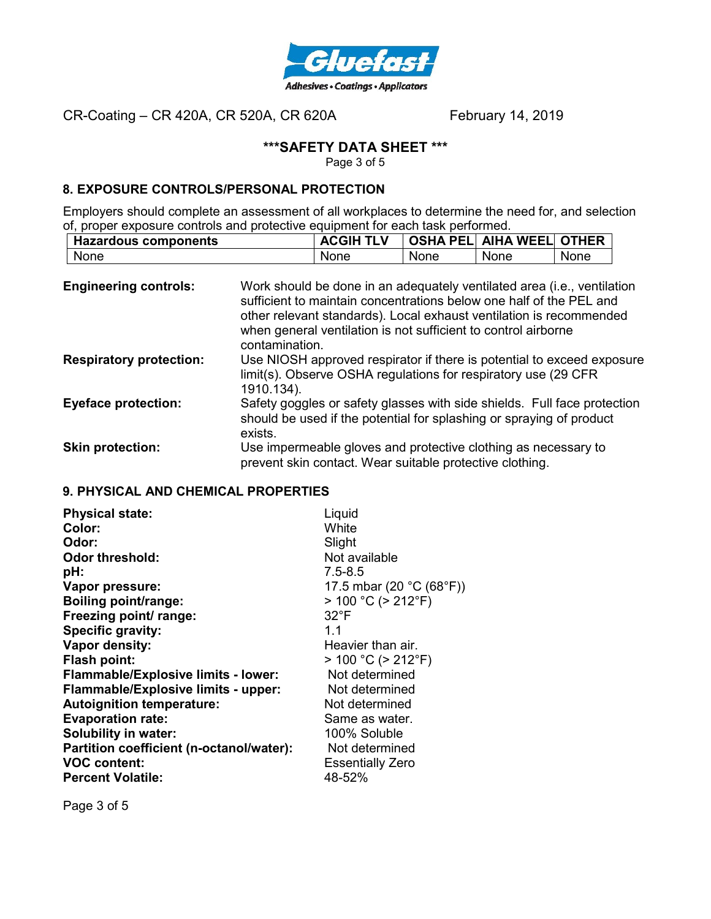

# **\*\*\*SAFETY DATA SHEET \*\*\***

Page 3 of 5

# **8. EXPOSURE CONTROLS/PERSONAL PROTECTION**

Employers should complete an assessment of all workplaces to determine the need for, and selection of, proper exposure controls and protective equipment for each task performed.

| <b>Hazardous components</b> | <b>ACGIH TLV</b> |      | OSHA PEL  AIHA WEEL  OTHER |      |
|-----------------------------|------------------|------|----------------------------|------|
| None                        | None             | None | None                       | None |

| <b>Engineering controls:</b>   | Work should be done in an adequately ventilated area (i.e., ventilation<br>sufficient to maintain concentrations below one half of the PEL and<br>other relevant standards). Local exhaust ventilation is recommended<br>when general ventilation is not sufficient to control airborne<br>contamination. |
|--------------------------------|-----------------------------------------------------------------------------------------------------------------------------------------------------------------------------------------------------------------------------------------------------------------------------------------------------------|
| <b>Respiratory protection:</b> | Use NIOSH approved respirator if there is potential to exceed exposure<br>limit(s). Observe OSHA regulations for respiratory use (29 CFR)<br>1910.134).                                                                                                                                                   |
| <b>Eyeface protection:</b>     | Safety goggles or safety glasses with side shields. Full face protection<br>should be used if the potential for splashing or spraying of product<br>exists.                                                                                                                                               |
| <b>Skin protection:</b>        | Use impermeable gloves and protective clothing as necessary to<br>prevent skin contact. Wear suitable protective clothing.                                                                                                                                                                                |

# **9. PHYSICAL AND CHEMICAL PROPERTIES**

| Liquid<br>White<br>Slight<br>Not available<br>$7.5 - 8.5$<br>17.5 mbar (20 °C (68°F))<br>$> 100 °C$ ( $> 212 °F$ )<br>$32^{\circ}F$<br>11<br>Heavier than air.<br>$> 100 °C$ ( $> 212 °F$ )<br>Not determined<br>Not determined<br>Not determined<br>Same as water.<br>100% Soluble<br>Not determined |
|-------------------------------------------------------------------------------------------------------------------------------------------------------------------------------------------------------------------------------------------------------------------------------------------------------|
| <b>Essentially Zero</b><br>48-52%                                                                                                                                                                                                                                                                     |
|                                                                                                                                                                                                                                                                                                       |

Page 3 of 5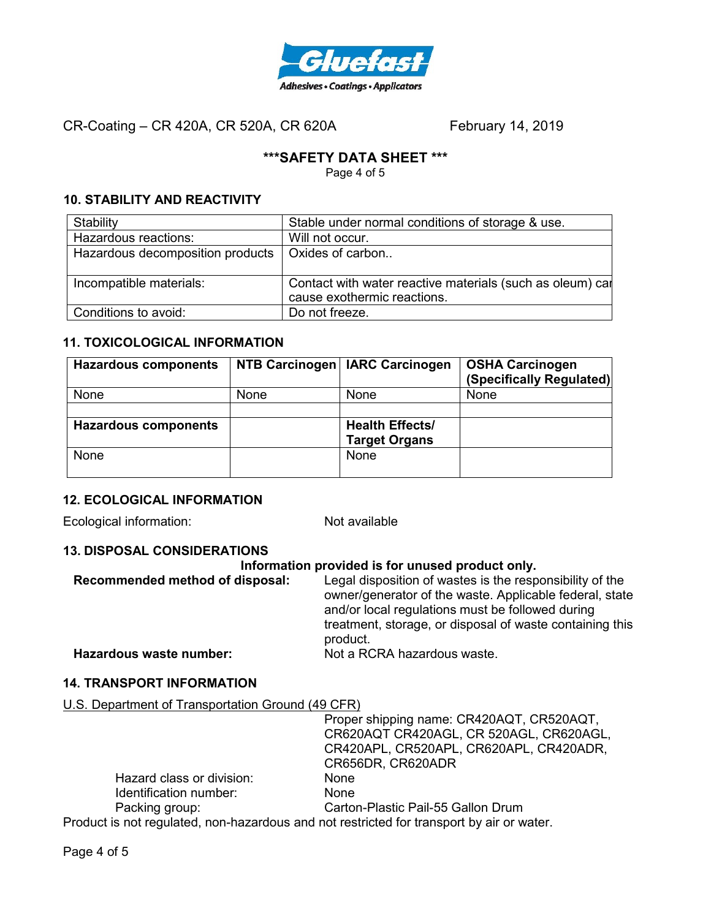

# **\*\*\*SAFETY DATA SHEET \*\*\***

Page 4 of 5

# **10. STABILITY AND REACTIVITY**

| Stability                        | Stable under normal conditions of storage & use.          |
|----------------------------------|-----------------------------------------------------------|
| Hazardous reactions:             | Will not occur.                                           |
| Hazardous decomposition products | Oxides of carbon                                          |
|                                  |                                                           |
| Incompatible materials:          | Contact with water reactive materials (such as oleum) car |
|                                  | cause exothermic reactions.                               |
| Conditions to avoid:             | Do not freeze.                                            |

# **11. TOXICOLOGICAL INFORMATION**

| <b>Hazardous components</b> |             | NTB Carcinogen   IARC Carcinogen | <b>OSHA Carcinogen</b><br>(Specifically Regulated) |
|-----------------------------|-------------|----------------------------------|----------------------------------------------------|
| None                        | <b>None</b> | <b>None</b>                      | None                                               |
|                             |             |                                  |                                                    |
| <b>Hazardous components</b> |             | <b>Health Effects/</b>           |                                                    |
|                             |             | <b>Target Organs</b>             |                                                    |
| <b>None</b>                 |             | <b>None</b>                      |                                                    |
|                             |             |                                  |                                                    |

## **12. ECOLOGICAL INFORMATION**

Ecological information: Not available

# **13. DISPOSAL CONSIDERATIONS**

#### **Information provided is for unused product only.**

| Recommended method of disposal: | Legal disposition of wastes is the responsibility of the<br>owner/generator of the waste. Applicable federal, state<br>and/or local regulations must be followed during<br>treatment, storage, or disposal of waste containing this<br>product. |
|---------------------------------|-------------------------------------------------------------------------------------------------------------------------------------------------------------------------------------------------------------------------------------------------|
| Hazardous waste number:         | Not a RCRA hazardous waste.                                                                                                                                                                                                                     |

## **14. TRANSPORT INFORMATION**

U.S. Department of Transportation Ground (49 CFR)

|                                                                                           | Proper shipping name: CR420AQT, CR520AQT, |
|-------------------------------------------------------------------------------------------|-------------------------------------------|
|                                                                                           | CR620AQT CR420AGL, CR 520AGL, CR620AGL,   |
|                                                                                           | CR420APL, CR520APL, CR620APL, CR420ADR,   |
|                                                                                           | CR656DR, CR620ADR                         |
| Hazard class or division:                                                                 | <b>None</b>                               |
| Identification number:                                                                    | <b>None</b>                               |
| Packing group:                                                                            | Carton-Plastic Pail-55 Gallon Drum        |
| Product is not regulated, non-hazardous and not restricted for transport by air or water. |                                           |
|                                                                                           |                                           |

Page 4 of 5